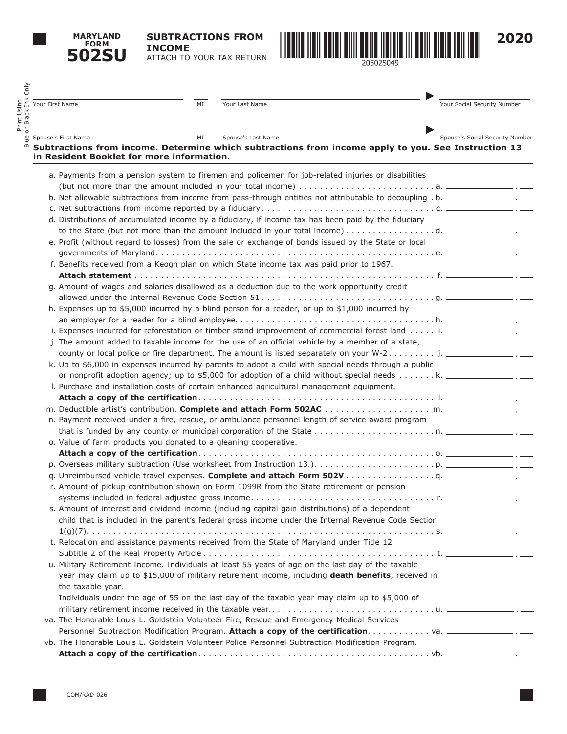**MARYLAND FORM 502SU**

Print Using

**SUBTRACTIONS FROM INCOME** ATTACH TO YOUR TAX RETURN



| Spouse's Social Security Number<br>Spouse's Last Name<br>Spouse's First Name<br>MI<br>Subtractions from income. Determine which subtractions from income apply to you. See Instruction 13<br>in Resident Booklet for more information.<br>a. Payments from a pension system to firemen and policemen for job-related injuries or disabilities<br>b. Net allowable subtractions from income from pass-through entities not attributable to decoupling . b. ________________.<br>d. Distributions of accumulated income by a fiduciary, if income tax has been paid by the fiduciary<br>e. Profit (without regard to losses) from the sale or exchange of bonds issued by the State or local<br>f. Benefits received from a Keogh plan on which State income tax was paid prior to 1967.<br>g. Amount of wages and salaries disallowed as a deduction due to the work opportunity credit<br>h. Expenses up to \$5,000 incurred by a blind person for a reader, or up to \$1,000 incurred by<br>i. Expenses incurred for reforestation or timber stand improvement of commercial forest land i. __________________.<br>j. The amount added to taxable income for the use of an official vehicle by a member of a state,<br>county or local police or fire department. The amount is listed separately on your W-2 j. _______________.<br>k. Up to \$6,000 in expenses incurred by parents to adopt a child with special needs through a public<br>or nonprofit adoption agency; up to \$5,000 for adoption of a child without special needs k. ________________.<br>I. Purchase and installation costs of certain enhanced agricultural management equipment.<br>n. Payment received under a fire, rescue, or ambulance personnel length of service award program<br>o. Value of farm products you donated to a gleaning cooperative.<br>r. Amount of pickup contribution shown on Form 1099R from the State retirement or pension<br>s. Amount of interest and dividend income (including capital gain distributions) of a dependent<br>child that is included in the parent's federal gross income under the Internal Revenue Code Section<br>t. Relocation and assistance payments received from the State of Maryland under Title 12<br>u. Military Retirement Income. Individuals at least 55 years of age on the last day of the taxable<br>year may claim up to \$15,000 of military retirement income, including death benefits, received in | Your Social Security Number |
|---------------------------------------------------------------------------------------------------------------------------------------------------------------------------------------------------------------------------------------------------------------------------------------------------------------------------------------------------------------------------------------------------------------------------------------------------------------------------------------------------------------------------------------------------------------------------------------------------------------------------------------------------------------------------------------------------------------------------------------------------------------------------------------------------------------------------------------------------------------------------------------------------------------------------------------------------------------------------------------------------------------------------------------------------------------------------------------------------------------------------------------------------------------------------------------------------------------------------------------------------------------------------------------------------------------------------------------------------------------------------------------------------------------------------------------------------------------------------------------------------------------------------------------------------------------------------------------------------------------------------------------------------------------------------------------------------------------------------------------------------------------------------------------------------------------------------------------------------------------------------------------------------------------------------------------------------------------------------------------------------------------------------------------------------------------------------------------------------------------------------------------------------------------------------------------------------------------------------------------------------------------------------------------------------------------------------------------------------------------------------------------------------------------------------------------------------|-----------------------------|
|                                                                                                                                                                                                                                                                                                                                                                                                                                                                                                                                                                                                                                                                                                                                                                                                                                                                                                                                                                                                                                                                                                                                                                                                                                                                                                                                                                                                                                                                                                                                                                                                                                                                                                                                                                                                                                                                                                                                                                                                                                                                                                                                                                                                                                                                                                                                                                                                                                                   |                             |
|                                                                                                                                                                                                                                                                                                                                                                                                                                                                                                                                                                                                                                                                                                                                                                                                                                                                                                                                                                                                                                                                                                                                                                                                                                                                                                                                                                                                                                                                                                                                                                                                                                                                                                                                                                                                                                                                                                                                                                                                                                                                                                                                                                                                                                                                                                                                                                                                                                                   |                             |
|                                                                                                                                                                                                                                                                                                                                                                                                                                                                                                                                                                                                                                                                                                                                                                                                                                                                                                                                                                                                                                                                                                                                                                                                                                                                                                                                                                                                                                                                                                                                                                                                                                                                                                                                                                                                                                                                                                                                                                                                                                                                                                                                                                                                                                                                                                                                                                                                                                                   |                             |
|                                                                                                                                                                                                                                                                                                                                                                                                                                                                                                                                                                                                                                                                                                                                                                                                                                                                                                                                                                                                                                                                                                                                                                                                                                                                                                                                                                                                                                                                                                                                                                                                                                                                                                                                                                                                                                                                                                                                                                                                                                                                                                                                                                                                                                                                                                                                                                                                                                                   |                             |
|                                                                                                                                                                                                                                                                                                                                                                                                                                                                                                                                                                                                                                                                                                                                                                                                                                                                                                                                                                                                                                                                                                                                                                                                                                                                                                                                                                                                                                                                                                                                                                                                                                                                                                                                                                                                                                                                                                                                                                                                                                                                                                                                                                                                                                                                                                                                                                                                                                                   |                             |
|                                                                                                                                                                                                                                                                                                                                                                                                                                                                                                                                                                                                                                                                                                                                                                                                                                                                                                                                                                                                                                                                                                                                                                                                                                                                                                                                                                                                                                                                                                                                                                                                                                                                                                                                                                                                                                                                                                                                                                                                                                                                                                                                                                                                                                                                                                                                                                                                                                                   |                             |
|                                                                                                                                                                                                                                                                                                                                                                                                                                                                                                                                                                                                                                                                                                                                                                                                                                                                                                                                                                                                                                                                                                                                                                                                                                                                                                                                                                                                                                                                                                                                                                                                                                                                                                                                                                                                                                                                                                                                                                                                                                                                                                                                                                                                                                                                                                                                                                                                                                                   |                             |
|                                                                                                                                                                                                                                                                                                                                                                                                                                                                                                                                                                                                                                                                                                                                                                                                                                                                                                                                                                                                                                                                                                                                                                                                                                                                                                                                                                                                                                                                                                                                                                                                                                                                                                                                                                                                                                                                                                                                                                                                                                                                                                                                                                                                                                                                                                                                                                                                                                                   |                             |
|                                                                                                                                                                                                                                                                                                                                                                                                                                                                                                                                                                                                                                                                                                                                                                                                                                                                                                                                                                                                                                                                                                                                                                                                                                                                                                                                                                                                                                                                                                                                                                                                                                                                                                                                                                                                                                                                                                                                                                                                                                                                                                                                                                                                                                                                                                                                                                                                                                                   |                             |
|                                                                                                                                                                                                                                                                                                                                                                                                                                                                                                                                                                                                                                                                                                                                                                                                                                                                                                                                                                                                                                                                                                                                                                                                                                                                                                                                                                                                                                                                                                                                                                                                                                                                                                                                                                                                                                                                                                                                                                                                                                                                                                                                                                                                                                                                                                                                                                                                                                                   |                             |
|                                                                                                                                                                                                                                                                                                                                                                                                                                                                                                                                                                                                                                                                                                                                                                                                                                                                                                                                                                                                                                                                                                                                                                                                                                                                                                                                                                                                                                                                                                                                                                                                                                                                                                                                                                                                                                                                                                                                                                                                                                                                                                                                                                                                                                                                                                                                                                                                                                                   |                             |
|                                                                                                                                                                                                                                                                                                                                                                                                                                                                                                                                                                                                                                                                                                                                                                                                                                                                                                                                                                                                                                                                                                                                                                                                                                                                                                                                                                                                                                                                                                                                                                                                                                                                                                                                                                                                                                                                                                                                                                                                                                                                                                                                                                                                                                                                                                                                                                                                                                                   |                             |
|                                                                                                                                                                                                                                                                                                                                                                                                                                                                                                                                                                                                                                                                                                                                                                                                                                                                                                                                                                                                                                                                                                                                                                                                                                                                                                                                                                                                                                                                                                                                                                                                                                                                                                                                                                                                                                                                                                                                                                                                                                                                                                                                                                                                                                                                                                                                                                                                                                                   |                             |
|                                                                                                                                                                                                                                                                                                                                                                                                                                                                                                                                                                                                                                                                                                                                                                                                                                                                                                                                                                                                                                                                                                                                                                                                                                                                                                                                                                                                                                                                                                                                                                                                                                                                                                                                                                                                                                                                                                                                                                                                                                                                                                                                                                                                                                                                                                                                                                                                                                                   |                             |
|                                                                                                                                                                                                                                                                                                                                                                                                                                                                                                                                                                                                                                                                                                                                                                                                                                                                                                                                                                                                                                                                                                                                                                                                                                                                                                                                                                                                                                                                                                                                                                                                                                                                                                                                                                                                                                                                                                                                                                                                                                                                                                                                                                                                                                                                                                                                                                                                                                                   |                             |
|                                                                                                                                                                                                                                                                                                                                                                                                                                                                                                                                                                                                                                                                                                                                                                                                                                                                                                                                                                                                                                                                                                                                                                                                                                                                                                                                                                                                                                                                                                                                                                                                                                                                                                                                                                                                                                                                                                                                                                                                                                                                                                                                                                                                                                                                                                                                                                                                                                                   |                             |
|                                                                                                                                                                                                                                                                                                                                                                                                                                                                                                                                                                                                                                                                                                                                                                                                                                                                                                                                                                                                                                                                                                                                                                                                                                                                                                                                                                                                                                                                                                                                                                                                                                                                                                                                                                                                                                                                                                                                                                                                                                                                                                                                                                                                                                                                                                                                                                                                                                                   |                             |
|                                                                                                                                                                                                                                                                                                                                                                                                                                                                                                                                                                                                                                                                                                                                                                                                                                                                                                                                                                                                                                                                                                                                                                                                                                                                                                                                                                                                                                                                                                                                                                                                                                                                                                                                                                                                                                                                                                                                                                                                                                                                                                                                                                                                                                                                                                                                                                                                                                                   |                             |
|                                                                                                                                                                                                                                                                                                                                                                                                                                                                                                                                                                                                                                                                                                                                                                                                                                                                                                                                                                                                                                                                                                                                                                                                                                                                                                                                                                                                                                                                                                                                                                                                                                                                                                                                                                                                                                                                                                                                                                                                                                                                                                                                                                                                                                                                                                                                                                                                                                                   |                             |
|                                                                                                                                                                                                                                                                                                                                                                                                                                                                                                                                                                                                                                                                                                                                                                                                                                                                                                                                                                                                                                                                                                                                                                                                                                                                                                                                                                                                                                                                                                                                                                                                                                                                                                                                                                                                                                                                                                                                                                                                                                                                                                                                                                                                                                                                                                                                                                                                                                                   |                             |
|                                                                                                                                                                                                                                                                                                                                                                                                                                                                                                                                                                                                                                                                                                                                                                                                                                                                                                                                                                                                                                                                                                                                                                                                                                                                                                                                                                                                                                                                                                                                                                                                                                                                                                                                                                                                                                                                                                                                                                                                                                                                                                                                                                                                                                                                                                                                                                                                                                                   |                             |
|                                                                                                                                                                                                                                                                                                                                                                                                                                                                                                                                                                                                                                                                                                                                                                                                                                                                                                                                                                                                                                                                                                                                                                                                                                                                                                                                                                                                                                                                                                                                                                                                                                                                                                                                                                                                                                                                                                                                                                                                                                                                                                                                                                                                                                                                                                                                                                                                                                                   |                             |
|                                                                                                                                                                                                                                                                                                                                                                                                                                                                                                                                                                                                                                                                                                                                                                                                                                                                                                                                                                                                                                                                                                                                                                                                                                                                                                                                                                                                                                                                                                                                                                                                                                                                                                                                                                                                                                                                                                                                                                                                                                                                                                                                                                                                                                                                                                                                                                                                                                                   |                             |
|                                                                                                                                                                                                                                                                                                                                                                                                                                                                                                                                                                                                                                                                                                                                                                                                                                                                                                                                                                                                                                                                                                                                                                                                                                                                                                                                                                                                                                                                                                                                                                                                                                                                                                                                                                                                                                                                                                                                                                                                                                                                                                                                                                                                                                                                                                                                                                                                                                                   |                             |
|                                                                                                                                                                                                                                                                                                                                                                                                                                                                                                                                                                                                                                                                                                                                                                                                                                                                                                                                                                                                                                                                                                                                                                                                                                                                                                                                                                                                                                                                                                                                                                                                                                                                                                                                                                                                                                                                                                                                                                                                                                                                                                                                                                                                                                                                                                                                                                                                                                                   |                             |
|                                                                                                                                                                                                                                                                                                                                                                                                                                                                                                                                                                                                                                                                                                                                                                                                                                                                                                                                                                                                                                                                                                                                                                                                                                                                                                                                                                                                                                                                                                                                                                                                                                                                                                                                                                                                                                                                                                                                                                                                                                                                                                                                                                                                                                                                                                                                                                                                                                                   |                             |
|                                                                                                                                                                                                                                                                                                                                                                                                                                                                                                                                                                                                                                                                                                                                                                                                                                                                                                                                                                                                                                                                                                                                                                                                                                                                                                                                                                                                                                                                                                                                                                                                                                                                                                                                                                                                                                                                                                                                                                                                                                                                                                                                                                                                                                                                                                                                                                                                                                                   |                             |
|                                                                                                                                                                                                                                                                                                                                                                                                                                                                                                                                                                                                                                                                                                                                                                                                                                                                                                                                                                                                                                                                                                                                                                                                                                                                                                                                                                                                                                                                                                                                                                                                                                                                                                                                                                                                                                                                                                                                                                                                                                                                                                                                                                                                                                                                                                                                                                                                                                                   |                             |
|                                                                                                                                                                                                                                                                                                                                                                                                                                                                                                                                                                                                                                                                                                                                                                                                                                                                                                                                                                                                                                                                                                                                                                                                                                                                                                                                                                                                                                                                                                                                                                                                                                                                                                                                                                                                                                                                                                                                                                                                                                                                                                                                                                                                                                                                                                                                                                                                                                                   |                             |
|                                                                                                                                                                                                                                                                                                                                                                                                                                                                                                                                                                                                                                                                                                                                                                                                                                                                                                                                                                                                                                                                                                                                                                                                                                                                                                                                                                                                                                                                                                                                                                                                                                                                                                                                                                                                                                                                                                                                                                                                                                                                                                                                                                                                                                                                                                                                                                                                                                                   |                             |
|                                                                                                                                                                                                                                                                                                                                                                                                                                                                                                                                                                                                                                                                                                                                                                                                                                                                                                                                                                                                                                                                                                                                                                                                                                                                                                                                                                                                                                                                                                                                                                                                                                                                                                                                                                                                                                                                                                                                                                                                                                                                                                                                                                                                                                                                                                                                                                                                                                                   |                             |
|                                                                                                                                                                                                                                                                                                                                                                                                                                                                                                                                                                                                                                                                                                                                                                                                                                                                                                                                                                                                                                                                                                                                                                                                                                                                                                                                                                                                                                                                                                                                                                                                                                                                                                                                                                                                                                                                                                                                                                                                                                                                                                                                                                                                                                                                                                                                                                                                                                                   |                             |
|                                                                                                                                                                                                                                                                                                                                                                                                                                                                                                                                                                                                                                                                                                                                                                                                                                                                                                                                                                                                                                                                                                                                                                                                                                                                                                                                                                                                                                                                                                                                                                                                                                                                                                                                                                                                                                                                                                                                                                                                                                                                                                                                                                                                                                                                                                                                                                                                                                                   |                             |
|                                                                                                                                                                                                                                                                                                                                                                                                                                                                                                                                                                                                                                                                                                                                                                                                                                                                                                                                                                                                                                                                                                                                                                                                                                                                                                                                                                                                                                                                                                                                                                                                                                                                                                                                                                                                                                                                                                                                                                                                                                                                                                                                                                                                                                                                                                                                                                                                                                                   |                             |
|                                                                                                                                                                                                                                                                                                                                                                                                                                                                                                                                                                                                                                                                                                                                                                                                                                                                                                                                                                                                                                                                                                                                                                                                                                                                                                                                                                                                                                                                                                                                                                                                                                                                                                                                                                                                                                                                                                                                                                                                                                                                                                                                                                                                                                                                                                                                                                                                                                                   |                             |
| the taxable year.<br>Individuals under the age of 55 on the last day of the taxable year may claim up to \$5,000 of                                                                                                                                                                                                                                                                                                                                                                                                                                                                                                                                                                                                                                                                                                                                                                                                                                                                                                                                                                                                                                                                                                                                                                                                                                                                                                                                                                                                                                                                                                                                                                                                                                                                                                                                                                                                                                                                                                                                                                                                                                                                                                                                                                                                                                                                                                                               |                             |
|                                                                                                                                                                                                                                                                                                                                                                                                                                                                                                                                                                                                                                                                                                                                                                                                                                                                                                                                                                                                                                                                                                                                                                                                                                                                                                                                                                                                                                                                                                                                                                                                                                                                                                                                                                                                                                                                                                                                                                                                                                                                                                                                                                                                                                                                                                                                                                                                                                                   |                             |
| va. The Honorable Louis L. Goldstein Volunteer Fire, Rescue and Emergency Medical Services                                                                                                                                                                                                                                                                                                                                                                                                                                                                                                                                                                                                                                                                                                                                                                                                                                                                                                                                                                                                                                                                                                                                                                                                                                                                                                                                                                                                                                                                                                                                                                                                                                                                                                                                                                                                                                                                                                                                                                                                                                                                                                                                                                                                                                                                                                                                                        |                             |
|                                                                                                                                                                                                                                                                                                                                                                                                                                                                                                                                                                                                                                                                                                                                                                                                                                                                                                                                                                                                                                                                                                                                                                                                                                                                                                                                                                                                                                                                                                                                                                                                                                                                                                                                                                                                                                                                                                                                                                                                                                                                                                                                                                                                                                                                                                                                                                                                                                                   |                             |
| vb. The Honorable Louis L. Goldstein Volunteer Police Personnel Subtraction Modification Program.                                                                                                                                                                                                                                                                                                                                                                                                                                                                                                                                                                                                                                                                                                                                                                                                                                                                                                                                                                                                                                                                                                                                                                                                                                                                                                                                                                                                                                                                                                                                                                                                                                                                                                                                                                                                                                                                                                                                                                                                                                                                                                                                                                                                                                                                                                                                                 |                             |
|                                                                                                                                                                                                                                                                                                                                                                                                                                                                                                                                                                                                                                                                                                                                                                                                                                                                                                                                                                                                                                                                                                                                                                                                                                                                                                                                                                                                                                                                                                                                                                                                                                                                                                                                                                                                                                                                                                                                                                                                                                                                                                                                                                                                                                                                                                                                                                                                                                                   |                             |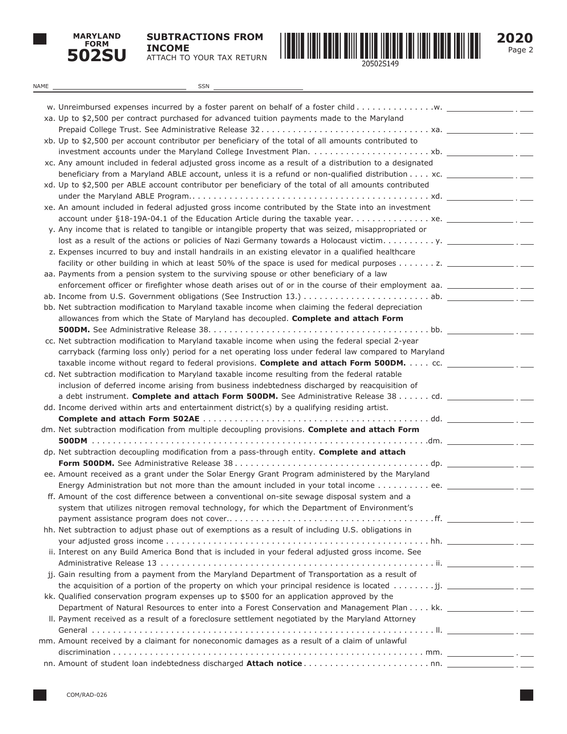

**SUBTRACTIONS FROM INCOME** ATTACH TO YOUR TAX RETURN



Page 2 **2020**

| NAME | <b>SSN</b>                                                                                                                                                                                                          |  |
|------|---------------------------------------------------------------------------------------------------------------------------------------------------------------------------------------------------------------------|--|
|      |                                                                                                                                                                                                                     |  |
|      |                                                                                                                                                                                                                     |  |
|      | xa. Up to \$2,500 per contract purchased for advanced tuition payments made to the Maryland                                                                                                                         |  |
|      |                                                                                                                                                                                                                     |  |
|      | xb. Up to \$2,500 per account contributor per beneficiary of the total of all amounts contributed to                                                                                                                |  |
|      |                                                                                                                                                                                                                     |  |
|      | xc. Any amount included in federal adjusted gross income as a result of a distribution to a designated                                                                                                              |  |
|      | beneficiary from a Maryland ABLE account, unless it is a refund or non-qualified distribution $\dots$ xc.<br>xd. Up to \$2,500 per ABLE account contributor per beneficiary of the total of all amounts contributed |  |
|      |                                                                                                                                                                                                                     |  |
|      | xe. An amount included in federal adjusted gross income contributed by the State into an investment                                                                                                                 |  |
|      |                                                                                                                                                                                                                     |  |
|      | y. Any income that is related to tangible or intangible property that was seized, misappropriated or                                                                                                                |  |
|      |                                                                                                                                                                                                                     |  |
|      | z. Expenses incurred to buy and install handrails in an existing elevator in a qualified healthcare                                                                                                                 |  |
|      |                                                                                                                                                                                                                     |  |
|      | aa. Payments from a pension system to the surviving spouse or other beneficiary of a law                                                                                                                            |  |
|      | enforcement officer or firefighter whose death arises out of or in the course of their employment aa. ________________.                                                                                             |  |
|      |                                                                                                                                                                                                                     |  |
|      | bb. Net subtraction modification to Maryland taxable income when claiming the federal depreciation                                                                                                                  |  |
|      | allowances from which the State of Maryland has decoupled. Complete and attach Form                                                                                                                                 |  |
|      |                                                                                                                                                                                                                     |  |
|      | cc. Net subtraction modification to Maryland taxable income when using the federal special 2-year                                                                                                                   |  |
|      | carryback (farming loss only) period for a net operating loss under federal law compared to Maryland                                                                                                                |  |
|      | taxable income without regard to federal provisions. <b>Complete and attach Form 500DM.</b> cc. _____                                                                                                               |  |
|      | cd. Net subtraction modification to Maryland taxable income resulting from the federal ratable                                                                                                                      |  |
|      | inclusion of deferred income arising from business indebtedness discharged by reacquisition of                                                                                                                      |  |
|      |                                                                                                                                                                                                                     |  |
|      | dd. Income derived within arts and entertainment district(s) by a qualifying residing artist.                                                                                                                       |  |
|      | dm. Net subtraction modification from multiple decoupling provisions. Complete and attach Form                                                                                                                      |  |
|      |                                                                                                                                                                                                                     |  |
|      | dp. Net subtraction decoupling modification from a pass-through entity. Complete and attach                                                                                                                         |  |
|      |                                                                                                                                                                                                                     |  |
|      | ee. Amount received as a grant under the Solar Energy Grant Program administered by the Maryland                                                                                                                    |  |
|      |                                                                                                                                                                                                                     |  |
|      | ff. Amount of the cost difference between a conventional on-site sewage disposal system and a                                                                                                                       |  |
|      | system that utilizes nitrogen removal technology, for which the Department of Environment's                                                                                                                         |  |
|      |                                                                                                                                                                                                                     |  |
|      | hh. Net subtraction to adjust phase out of exemptions as a result of including U.S. obligations in                                                                                                                  |  |
|      |                                                                                                                                                                                                                     |  |
|      | ii. Interest on any Build America Bond that is included in your federal adjusted gross income. See                                                                                                                  |  |
|      |                                                                                                                                                                                                                     |  |
|      | jj. Gain resulting from a payment from the Maryland Department of Transportation as a result of                                                                                                                     |  |
|      | the acquisition of a portion of the property on which your principal residence is located jj.                                                                                                                       |  |
|      | kk. Qualified conservation program expenses up to \$500 for an application approved by the                                                                                                                          |  |
|      | Department of Natural Resources to enter into a Forest Conservation and Management Plan kk. _____________________.                                                                                                  |  |
|      | II. Payment received as a result of a foreclosure settlement negotiated by the Maryland Attorney                                                                                                                    |  |
|      | mm. Amount received by a claimant for noneconomic damages as a result of a claim of unlawful                                                                                                                        |  |
|      |                                                                                                                                                                                                                     |  |
|      |                                                                                                                                                                                                                     |  |
|      |                                                                                                                                                                                                                     |  |